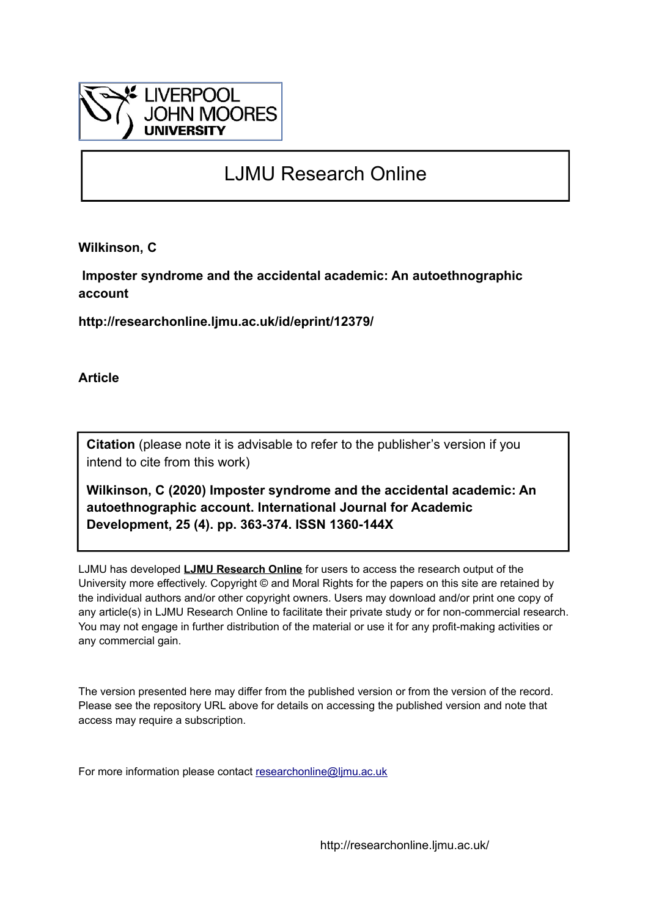

# LJMU Research Online

**Wilkinson, C**

 **Imposter syndrome and the accidental academic: An autoethnographic account**

**http://researchonline.ljmu.ac.uk/id/eprint/12379/**

**Article**

**Citation** (please note it is advisable to refer to the publisher's version if you intend to cite from this work)

**Wilkinson, C (2020) Imposter syndrome and the accidental academic: An autoethnographic account. International Journal for Academic Development, 25 (4). pp. 363-374. ISSN 1360-144X** 

LJMU has developed **[LJMU Research Online](http://researchonline.ljmu.ac.uk/)** for users to access the research output of the University more effectively. Copyright © and Moral Rights for the papers on this site are retained by the individual authors and/or other copyright owners. Users may download and/or print one copy of any article(s) in LJMU Research Online to facilitate their private study or for non-commercial research. You may not engage in further distribution of the material or use it for any profit-making activities or any commercial gain.

The version presented here may differ from the published version or from the version of the record. Please see the repository URL above for details on accessing the published version and note that access may require a subscription.

For more information please contact [researchonline@ljmu.ac.uk](mailto:researchonline@ljmu.ac.uk)

http://researchonline.ljmu.ac.uk/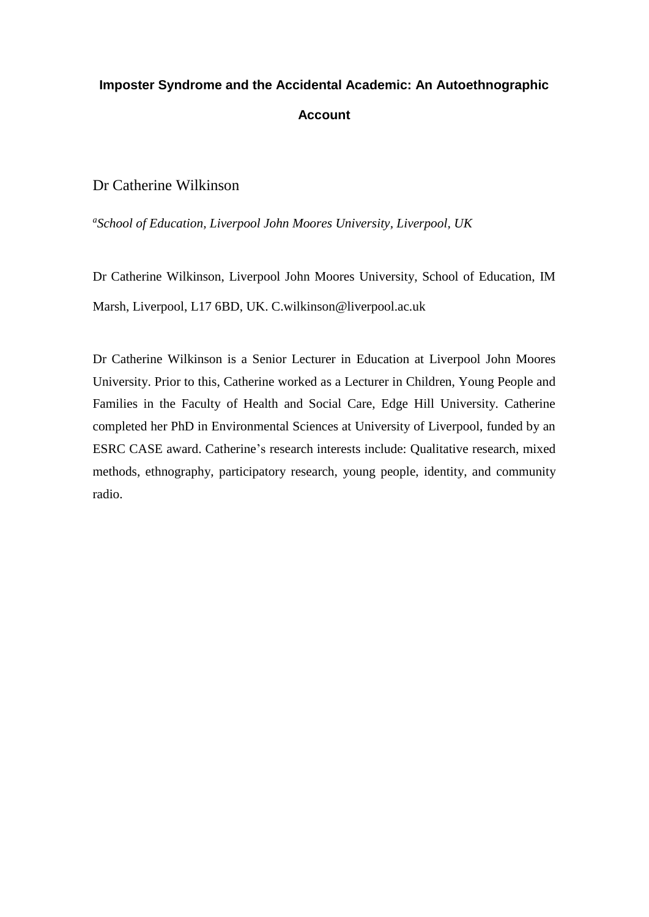# **Imposter Syndrome and the Accidental Academic: An Autoethnographic Account**

Dr Catherine Wilkinson

*a School of Education, Liverpool John Moores University, Liverpool, UK*

Dr Catherine Wilkinson, Liverpool John Moores University, School of Education, IM Marsh, Liverpool, L17 6BD, UK. C.wilkinson@liverpool.ac.uk

Dr Catherine Wilkinson is a Senior Lecturer in Education at Liverpool John Moores University. Prior to this, Catherine worked as a Lecturer in Children, Young People and Families in the Faculty of Health and Social Care, Edge Hill University. Catherine completed her PhD in Environmental Sciences at University of Liverpool, funded by an ESRC CASE award. Catherine's research interests include: Qualitative research, mixed methods, ethnography, participatory research, young people, identity, and community radio.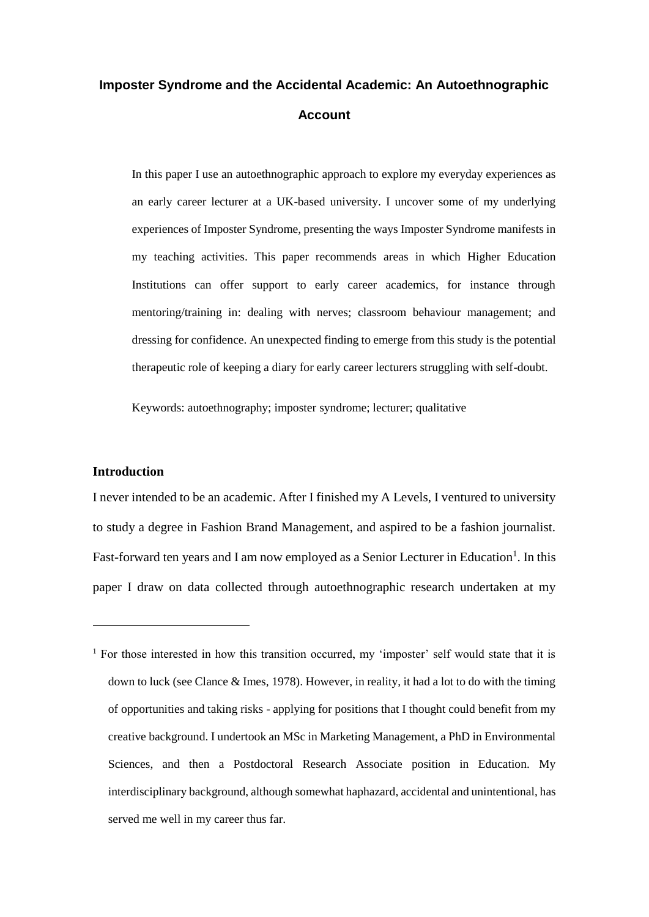## **Imposter Syndrome and the Accidental Academic: An Autoethnographic Account**

In this paper I use an autoethnographic approach to explore my everyday experiences as an early career lecturer at a UK-based university. I uncover some of my underlying experiences of Imposter Syndrome, presenting the ways Imposter Syndrome manifests in my teaching activities. This paper recommends areas in which Higher Education Institutions can offer support to early career academics, for instance through mentoring/training in: dealing with nerves; classroom behaviour management; and dressing for confidence. An unexpected finding to emerge from this study is the potential therapeutic role of keeping a diary for early career lecturers struggling with self-doubt.

Keywords: autoethnography; imposter syndrome; lecturer; qualitative

## **Introduction**

<u>.</u>

I never intended to be an academic. After I finished my A Levels, I ventured to university to study a degree in Fashion Brand Management, and aspired to be a fashion journalist. Fast-forward ten years and I am now employed as a Senior Lecturer in Education<sup>1</sup>. In this paper I draw on data collected through autoethnographic research undertaken at my

 $1$  For those interested in how this transition occurred, my 'imposter' self would state that it is down to luck (see Clance & Imes, 1978). However, in reality, it had a lot to do with the timing of opportunities and taking risks - applying for positions that I thought could benefit from my creative background. I undertook an MSc in Marketing Management, a PhD in Environmental Sciences, and then a Postdoctoral Research Associate position in Education. My interdisciplinary background, although somewhat haphazard, accidental and unintentional, has served me well in my career thus far.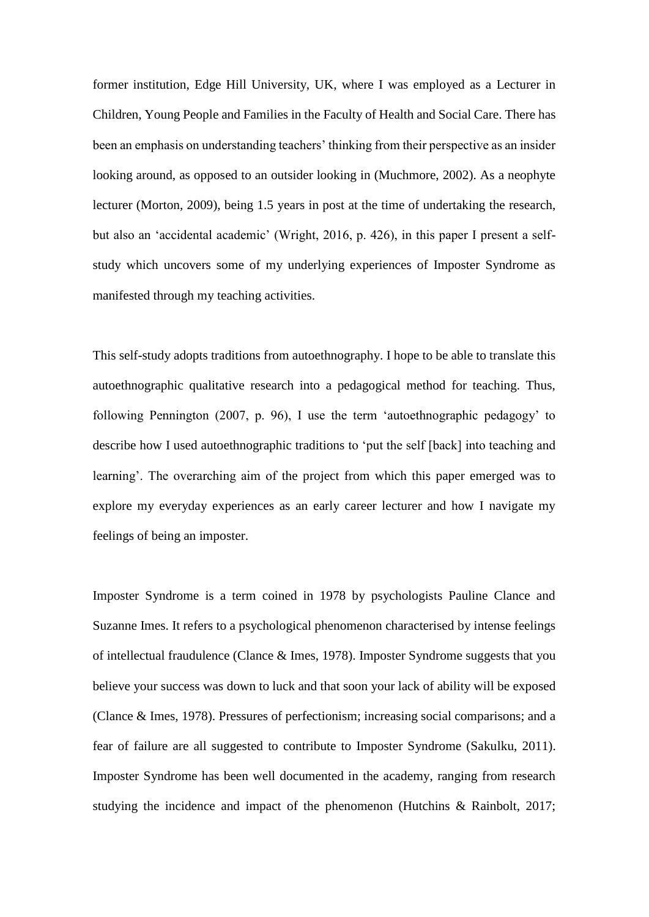former institution, Edge Hill University, UK, where I was employed as a Lecturer in Children, Young People and Families in the Faculty of Health and Social Care. There has been an emphasis on understanding teachers' thinking from their perspective as an insider looking around, as opposed to an outsider looking in (Muchmore, 2002). As a neophyte lecturer (Morton, 2009), being 1.5 years in post at the time of undertaking the research, but also an 'accidental academic' (Wright, 2016, p. 426), in this paper I present a selfstudy which uncovers some of my underlying experiences of Imposter Syndrome as manifested through my teaching activities.

This self-study adopts traditions from autoethnography. I hope to be able to translate this autoethnographic qualitative research into a pedagogical method for teaching. Thus, following Pennington (2007, p. 96), I use the term 'autoethnographic pedagogy' to describe how I used autoethnographic traditions to 'put the self [back] into teaching and learning'. The overarching aim of the project from which this paper emerged was to explore my everyday experiences as an early career lecturer and how I navigate my feelings of being an imposter.

Imposter Syndrome is a term coined in 1978 by psychologists Pauline Clance and Suzanne Imes. It refers to a psychological phenomenon characterised by intense feelings of intellectual fraudulence (Clance & Imes, 1978). Imposter Syndrome suggests that you believe your success was down to luck and that soon your lack of ability will be exposed (Clance & Imes, 1978). Pressures of perfectionism; increasing social comparisons; and a fear of failure are all suggested to contribute to Imposter Syndrome (Sakulku, 2011). Imposter Syndrome has been well documented in the academy, ranging from research studying the incidence and impact of the phenomenon (Hutchins & Rainbolt, 2017;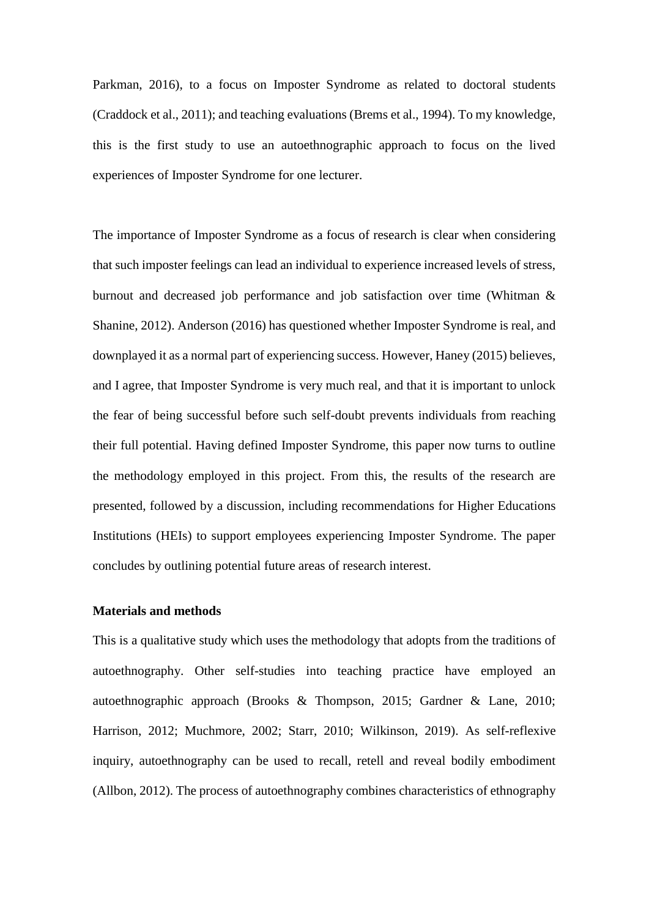Parkman, 2016), to a focus on Imposter Syndrome as related to doctoral students (Craddock et al., 2011); and teaching evaluations (Brems et al., 1994). To my knowledge, this is the first study to use an autoethnographic approach to focus on the lived experiences of Imposter Syndrome for one lecturer.

The importance of Imposter Syndrome as a focus of research is clear when considering that such imposter feelings can lead an individual to experience increased levels of stress, burnout and decreased job performance and job satisfaction over time (Whitman & Shanine, 2012). Anderson (2016) has questioned whether Imposter Syndrome is real, and downplayed it as a normal part of experiencing success. However, Haney (2015) believes, and I agree, that Imposter Syndrome is very much real, and that it is important to unlock the fear of being successful before such self-doubt prevents individuals from reaching their full potential. Having defined Imposter Syndrome, this paper now turns to outline the methodology employed in this project. From this, the results of the research are presented, followed by a discussion, including recommendations for Higher Educations Institutions (HEIs) to support employees experiencing Imposter Syndrome. The paper concludes by outlining potential future areas of research interest.

#### **Materials and methods**

This is a qualitative study which uses the methodology that adopts from the traditions of autoethnography. Other self-studies into teaching practice have employed an autoethnographic approach (Brooks & Thompson, 2015; Gardner & Lane, 2010; Harrison, 2012; Muchmore, 2002; Starr, 2010; Wilkinson, 2019). As self-reflexive inquiry, autoethnography can be used to recall, retell and reveal bodily embodiment (Allbon, 2012). The process of autoethnography combines characteristics of ethnography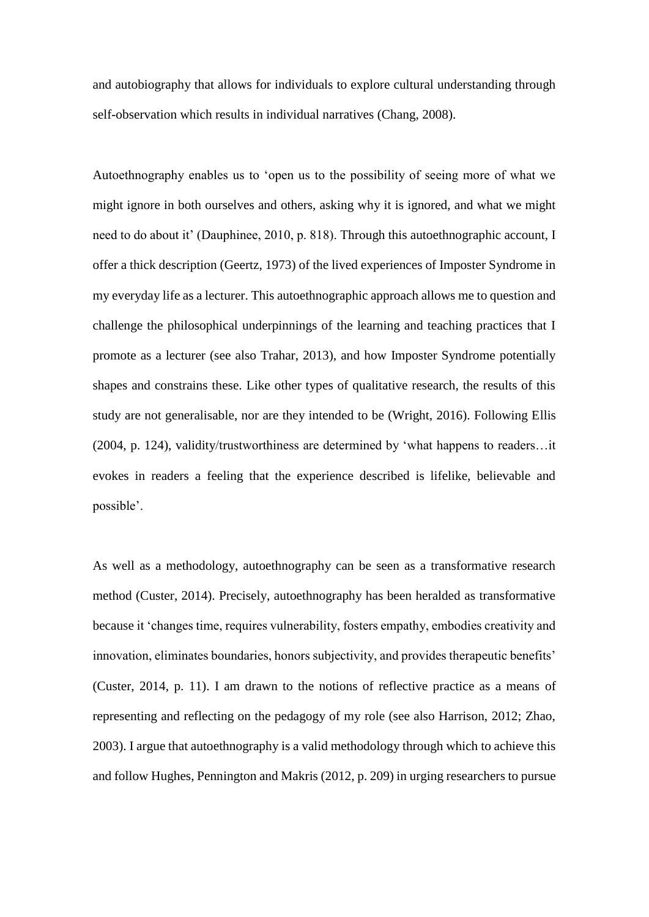and autobiography that allows for individuals to explore cultural understanding through self-observation which results in individual narratives (Chang, 2008).

Autoethnography enables us to 'open us to the possibility of seeing more of what we might ignore in both ourselves and others, asking why it is ignored, and what we might need to do about it' (Dauphinee, 2010, p. 818). Through this autoethnographic account, I offer a thick description (Geertz, 1973) of the lived experiences of Imposter Syndrome in my everyday life as a lecturer. This autoethnographic approach allows me to question and challenge the philosophical underpinnings of the learning and teaching practices that I promote as a lecturer (see also Trahar, 2013), and how Imposter Syndrome potentially shapes and constrains these. Like other types of qualitative research, the results of this study are not generalisable, nor are they intended to be (Wright, 2016). Following Ellis (2004, p. 124), validity/trustworthiness are determined by 'what happens to readers…it evokes in readers a feeling that the experience described is lifelike, believable and possible'.

As well as a methodology, autoethnography can be seen as a transformative research method (Custer, 2014). Precisely, autoethnography has been heralded as transformative because it 'changes time, requires vulnerability, fosters empathy, embodies creativity and innovation, eliminates boundaries, honors subjectivity, and provides therapeutic benefits' (Custer, 2014, p. 11). I am drawn to the notions of reflective practice as a means of representing and reflecting on the pedagogy of my role (see also Harrison, 2012; Zhao, 2003). I argue that autoethnography is a valid methodology through which to achieve this and follow Hughes, Pennington and Makris (2012, p. 209) in urging researchers to pursue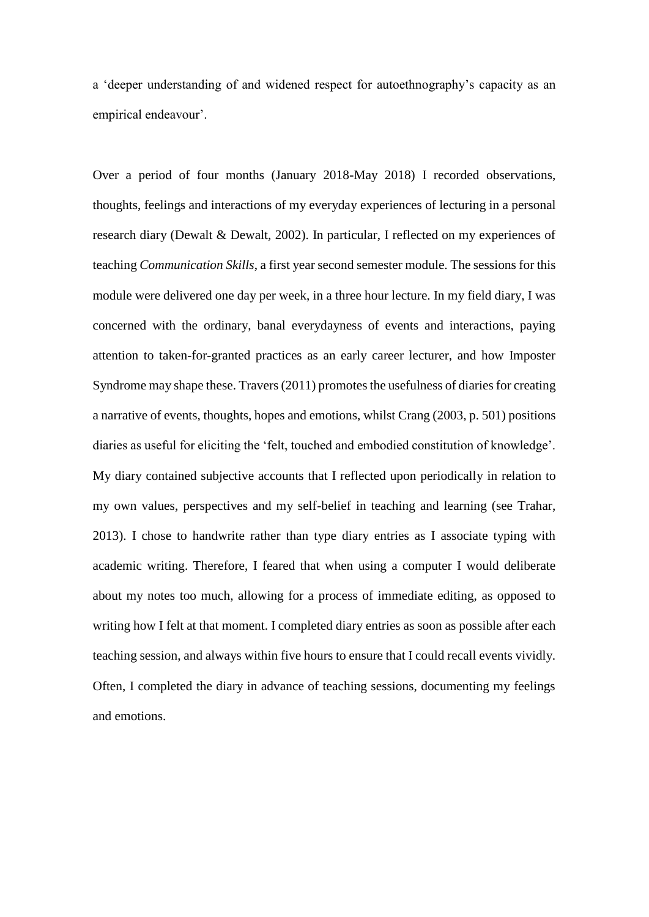a 'deeper understanding of and widened respect for autoethnography's capacity as an empirical endeavour'.

Over a period of four months (January 2018-May 2018) I recorded observations, thoughts, feelings and interactions of my everyday experiences of lecturing in a personal research diary (Dewalt & Dewalt, 2002). In particular, I reflected on my experiences of teaching *Communication Skills*, a first year second semester module. The sessions for this module were delivered one day per week, in a three hour lecture. In my field diary, I was concerned with the ordinary, banal everydayness of events and interactions, paying attention to taken-for-granted practices as an early career lecturer, and how Imposter Syndrome may shape these. Travers (2011) promotes the usefulness of diaries for creating a narrative of events, thoughts, hopes and emotions, whilst Crang (2003, p. 501) positions diaries as useful for eliciting the 'felt, touched and embodied constitution of knowledge'. My diary contained subjective accounts that I reflected upon periodically in relation to my own values, perspectives and my self-belief in teaching and learning (see Trahar, 2013). I chose to handwrite rather than type diary entries as I associate typing with academic writing. Therefore, I feared that when using a computer I would deliberate about my notes too much, allowing for a process of immediate editing, as opposed to writing how I felt at that moment. I completed diary entries as soon as possible after each teaching session, and always within five hours to ensure that I could recall events vividly. Often, I completed the diary in advance of teaching sessions, documenting my feelings and emotions.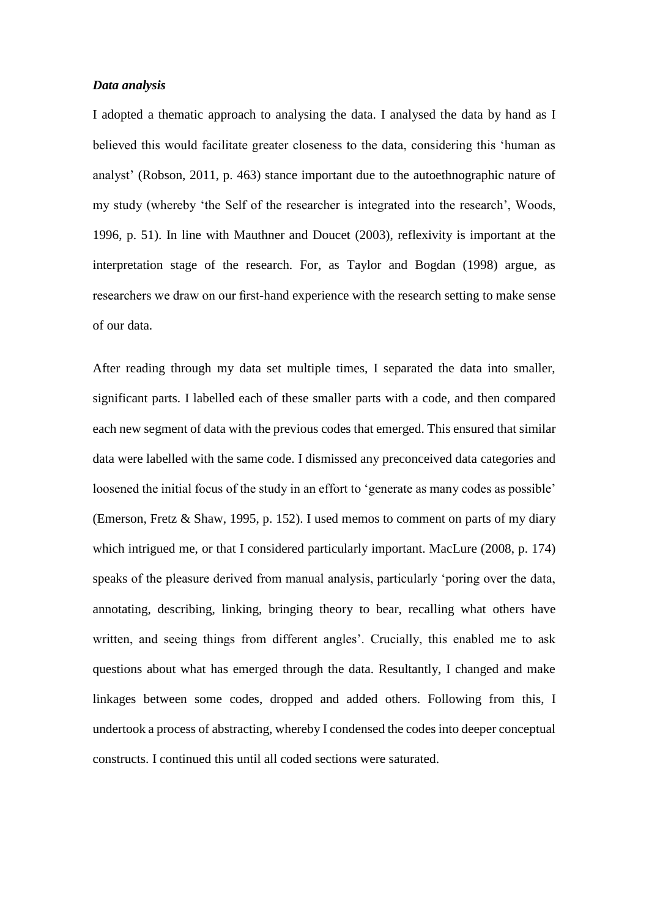### *Data analysis*

I adopted a thematic approach to analysing the data. I analysed the data by hand as I believed this would facilitate greater closeness to the data, considering this 'human as analyst' (Robson, 2011, p. 463) stance important due to the autoethnographic nature of my study (whereby 'the Self of the researcher is integrated into the research', Woods, 1996, p. 51). In line with Mauthner and Doucet (2003), reflexivity is important at the interpretation stage of the research. For, as Taylor and Bogdan (1998) argue, as researchers we draw on our first-hand experience with the research setting to make sense of our data.

After reading through my data set multiple times, I separated the data into smaller, significant parts. I labelled each of these smaller parts with a code, and then compared each new segment of data with the previous codes that emerged. This ensured that similar data were labelled with the same code. I dismissed any preconceived data categories and loosened the initial focus of the study in an effort to 'generate as many codes as possible' (Emerson, Fretz & Shaw, 1995, p. 152). I used memos to comment on parts of my diary which intrigued me, or that I considered particularly important. MacLure (2008, p. 174) speaks of the pleasure derived from manual analysis, particularly 'poring over the data, annotating, describing, linking, bringing theory to bear, recalling what others have written, and seeing things from different angles'. Crucially, this enabled me to ask questions about what has emerged through the data. Resultantly, I changed and make linkages between some codes, dropped and added others. Following from this, I undertook a process of abstracting, whereby I condensed the codes into deeper conceptual constructs. I continued this until all coded sections were saturated.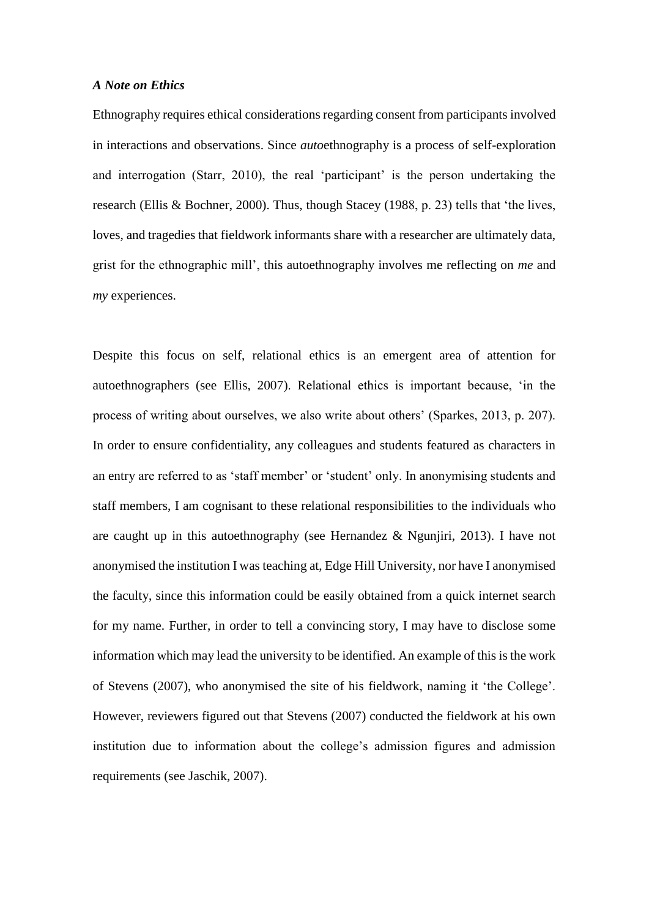### *A Note on Ethics*

Ethnography requires ethical considerations regarding consent from participants involved in interactions and observations. Since *auto*ethnography is a process of self-exploration and interrogation (Starr, 2010), the real 'participant' is the person undertaking the research (Ellis & Bochner, 2000). Thus, though Stacey (1988, p. 23) tells that 'the lives, loves, and tragedies that fieldwork informants share with a researcher are ultimately data, grist for the ethnographic mill', this autoethnography involves me reflecting on *me* and *my* experiences.

Despite this focus on self, relational ethics is an emergent area of attention for autoethnographers (see Ellis, 2007). Relational ethics is important because, 'in the process of writing about ourselves, we also write about others' (Sparkes, 2013, p. 207). In order to ensure confidentiality, any colleagues and students featured as characters in an entry are referred to as 'staff member' or 'student' only. In anonymising students and staff members, I am cognisant to these relational responsibilities to the individuals who are caught up in this autoethnography (see Hernandez  $\&$  Ngunjiri, 2013). I have not anonymised the institution I was teaching at, Edge Hill University, nor have I anonymised the faculty, since this information could be easily obtained from a quick internet search for my name. Further, in order to tell a convincing story, I may have to disclose some information which may lead the university to be identified. An example of this is the work of Stevens (2007), who anonymised the site of his fieldwork, naming it 'the College'. However, reviewers figured out that Stevens (2007) conducted the fieldwork at his own institution due to information about the college's admission figures and admission requirements (see Jaschik, 2007).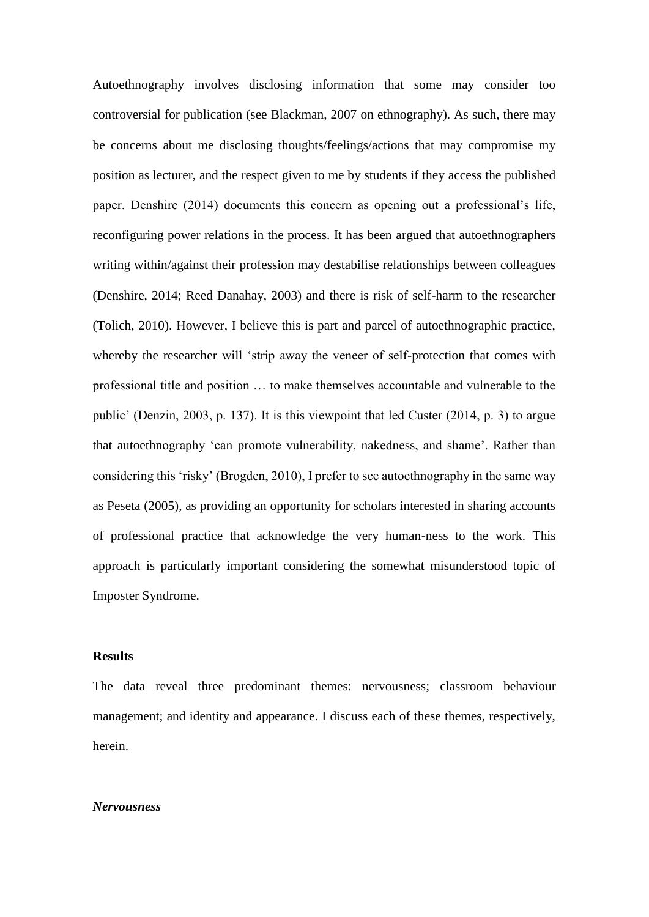Autoethnography involves disclosing information that some may consider too controversial for publication (see Blackman, 2007 on ethnography). As such, there may be concerns about me disclosing thoughts/feelings/actions that may compromise my position as lecturer, and the respect given to me by students if they access the published paper. Denshire (2014) documents this concern as opening out a professional's life, reconfiguring power relations in the process. It has been argued that autoethnographers writing within/against their profession may destabilise relationships between colleagues (Denshire, 2014; Reed Danahay, 2003) and there is risk of self-harm to the researcher (Tolich, 2010). However, I believe this is part and parcel of autoethnographic practice, whereby the researcher will 'strip away the veneer of self-protection that comes with professional title and position … to make themselves accountable and vulnerable to the public' (Denzin, 2003, p. 137). It is this viewpoint that led Custer (2014, p. 3) to argue that autoethnography 'can promote vulnerability, nakedness, and shame'. Rather than considering this 'risky' (Brogden, 2010), I prefer to see autoethnography in the same way as Peseta (2005), as providing an opportunity for scholars interested in sharing accounts of professional practice that acknowledge the very human-ness to the work. This approach is particularly important considering the somewhat misunderstood topic of Imposter Syndrome.

### **Results**

The data reveal three predominant themes: nervousness; classroom behaviour management; and identity and appearance. I discuss each of these themes, respectively, herein.

#### *Nervousness*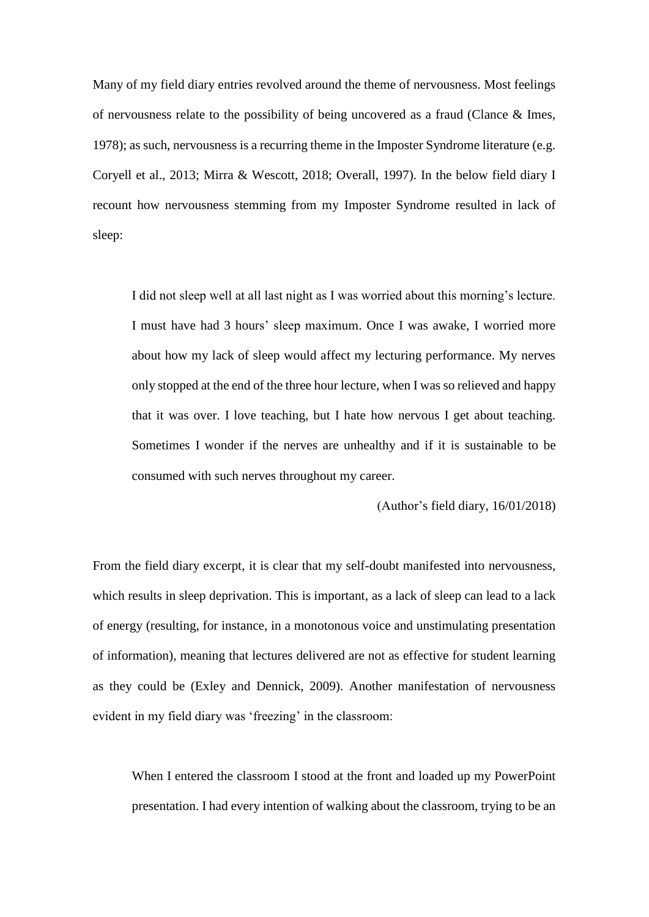Many of my field diary entries revolved around the theme of nervousness. Most feelings of nervousness relate to the possibility of being uncovered as a fraud (Clance & Imes, 1978); as such, nervousness is a recurring theme in the Imposter Syndrome literature (e.g. Coryell et al., 2013; Mirra & Wescott, 2018; Overall, 1997). In the below field diary I recount how nervousness stemming from my Imposter Syndrome resulted in lack of sleep:

I did not sleep well at all last night as I was worried about this morning's lecture. I must have had 3 hours' sleep maximum. Once I was awake, I worried more about how my lack of sleep would affect my lecturing performance. My nerves only stopped at the end of the three hour lecture, when I was so relieved and happy that it was over. I love teaching, but I hate how nervous I get about teaching. Sometimes I wonder if the nerves are unhealthy and if it is sustainable to be consumed with such nerves throughout my career.

(Author's field diary, 16/01/2018)

From the field diary excerpt, it is clear that my self-doubt manifested into nervousness, which results in sleep deprivation. This is important, as a lack of sleep can lead to a lack of energy (resulting, for instance, in a monotonous voice and unstimulating presentation of information), meaning that lectures delivered are not as effective for student learning as they could be (Exley and Dennick, 2009). Another manifestation of nervousness evident in my field diary was 'freezing' in the classroom:

When I entered the classroom I stood at the front and loaded up my PowerPoint presentation. I had every intention of walking about the classroom, trying to be an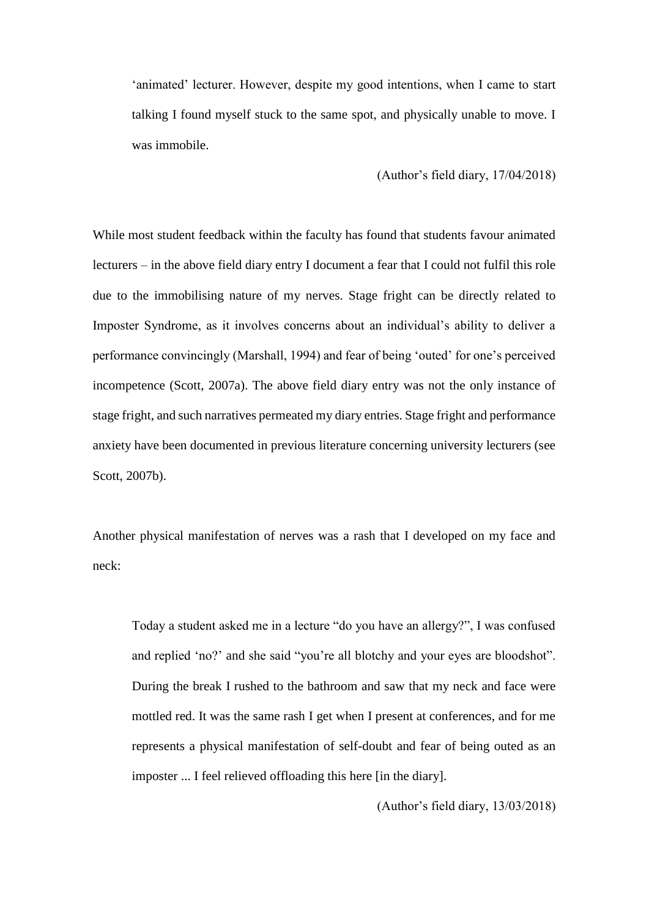'animated' lecturer. However, despite my good intentions, when I came to start talking I found myself stuck to the same spot, and physically unable to move. I was immobile.

## (Author's field diary, 17/04/2018)

While most student feedback within the faculty has found that students favour animated lecturers – in the above field diary entry I document a fear that I could not fulfil this role due to the immobilising nature of my nerves. Stage fright can be directly related to Imposter Syndrome, as it involves concerns about an individual's ability to deliver a performance convincingly (Marshall, 1994) and fear of being 'outed' for one's perceived incompetence (Scott, 2007a). The above field diary entry was not the only instance of stage fright, and such narratives permeated my diary entries. Stage fright and performance anxiety have been documented in previous literature concerning university lecturers (see Scott, 2007b).

Another physical manifestation of nerves was a rash that I developed on my face and neck:

Today a student asked me in a lecture "do you have an allergy?", I was confused and replied 'no?' and she said "you're all blotchy and your eyes are bloodshot". During the break I rushed to the bathroom and saw that my neck and face were mottled red. It was the same rash I get when I present at conferences, and for me represents a physical manifestation of self-doubt and fear of being outed as an imposter ... I feel relieved offloading this here [in the diary].

(Author's field diary, 13/03/2018)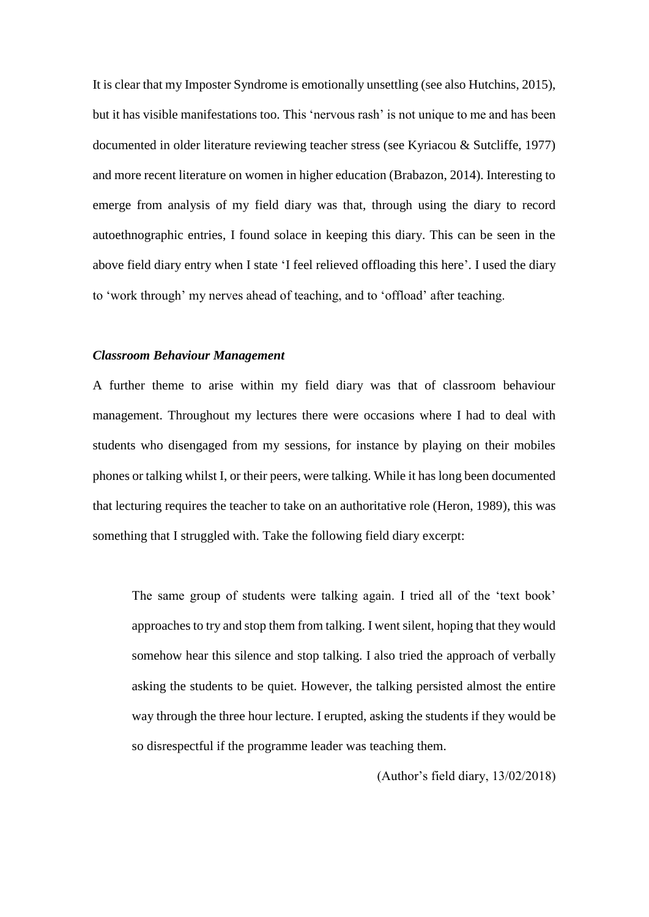It is clear that my Imposter Syndrome is emotionally unsettling (see also Hutchins, 2015), but it has visible manifestations too. This 'nervous rash' is not unique to me and has been documented in older literature reviewing teacher stress (see Kyriacou & Sutcliffe, 1977) and more recent literature on women in higher education (Brabazon, 2014). Interesting to emerge from analysis of my field diary was that, through using the diary to record autoethnographic entries, I found solace in keeping this diary. This can be seen in the above field diary entry when I state 'I feel relieved offloading this here'. I used the diary to 'work through' my nerves ahead of teaching, and to 'offload' after teaching.

### *Classroom Behaviour Management*

A further theme to arise within my field diary was that of classroom behaviour management. Throughout my lectures there were occasions where I had to deal with students who disengaged from my sessions, for instance by playing on their mobiles phones or talking whilst I, or their peers, were talking. While it has long been documented that lecturing requires the teacher to take on an authoritative role (Heron, 1989), this was something that I struggled with. Take the following field diary excerpt:

The same group of students were talking again. I tried all of the 'text book' approaches to try and stop them from talking. I went silent, hoping that they would somehow hear this silence and stop talking. I also tried the approach of verbally asking the students to be quiet. However, the talking persisted almost the entire way through the three hour lecture. I erupted, asking the students if they would be so disrespectful if the programme leader was teaching them.

(Author's field diary, 13/02/2018)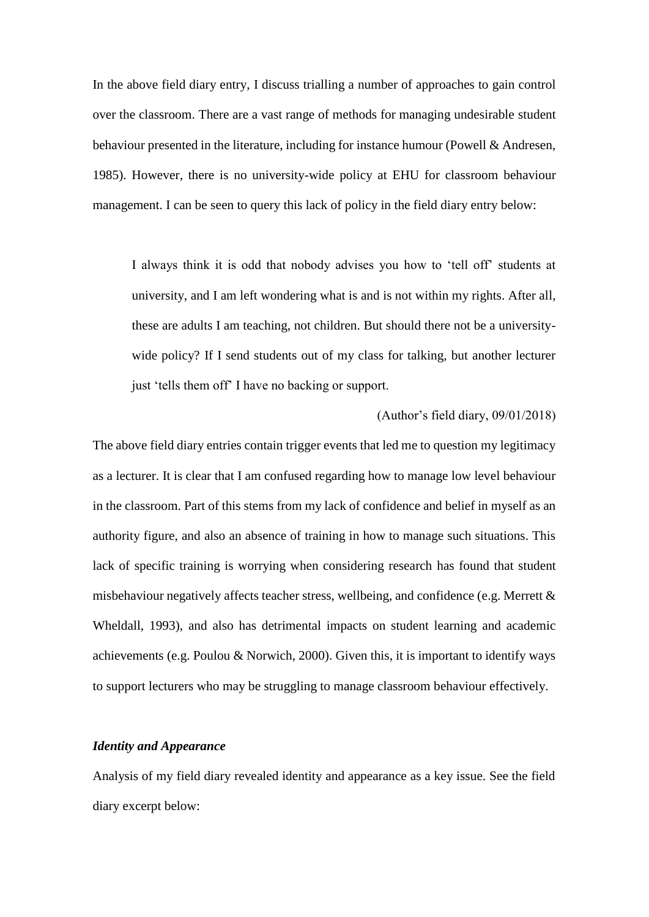In the above field diary entry, I discuss trialling a number of approaches to gain control over the classroom. There are a vast range of methods for managing undesirable student behaviour presented in the literature, including for instance humour (Powell & Andresen, 1985). However, there is no university-wide policy at EHU for classroom behaviour management. I can be seen to query this lack of policy in the field diary entry below:

I always think it is odd that nobody advises you how to 'tell off' students at university, and I am left wondering what is and is not within my rights. After all, these are adults I am teaching, not children. But should there not be a universitywide policy? If I send students out of my class for talking, but another lecturer just 'tells them off' I have no backing or support.

#### (Author's field diary, 09/01/2018)

The above field diary entries contain trigger events that led me to question my legitimacy as a lecturer. It is clear that I am confused regarding how to manage low level behaviour in the classroom. Part of this stems from my lack of confidence and belief in myself as an authority figure, and also an absence of training in how to manage such situations. This lack of specific training is worrying when considering research has found that student misbehaviour negatively affects teacher stress, wellbeing, and confidence (e.g. Merrett  $\&$ Wheldall, 1993), and also has detrimental impacts on student learning and academic achievements (e.g. Poulou & Norwich, 2000). Given this, it is important to identify ways to support lecturers who may be struggling to manage classroom behaviour effectively.

## *Identity and Appearance*

Analysis of my field diary revealed identity and appearance as a key issue. See the field diary excerpt below: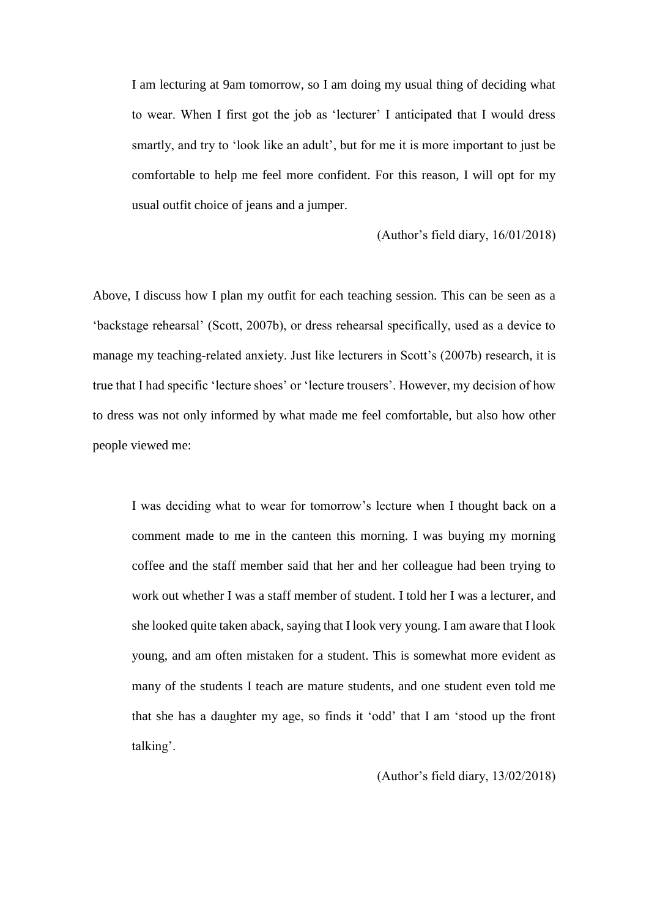I am lecturing at 9am tomorrow, so I am doing my usual thing of deciding what to wear. When I first got the job as 'lecturer' I anticipated that I would dress smartly, and try to 'look like an adult', but for me it is more important to just be comfortable to help me feel more confident. For this reason, I will opt for my usual outfit choice of jeans and a jumper.

#### (Author's field diary, 16/01/2018)

Above, I discuss how I plan my outfit for each teaching session. This can be seen as a 'backstage rehearsal' (Scott, 2007b), or dress rehearsal specifically, used as a device to manage my teaching-related anxiety. Just like lecturers in Scott's (2007b) research, it is true that I had specific 'lecture shoes' or 'lecture trousers'. However, my decision of how to dress was not only informed by what made me feel comfortable, but also how other people viewed me:

I was deciding what to wear for tomorrow's lecture when I thought back on a comment made to me in the canteen this morning. I was buying my morning coffee and the staff member said that her and her colleague had been trying to work out whether I was a staff member of student. I told her I was a lecturer, and she looked quite taken aback, saying that I look very young. I am aware that I look young, and am often mistaken for a student. This is somewhat more evident as many of the students I teach are mature students, and one student even told me that she has a daughter my age, so finds it 'odd' that I am 'stood up the front talking'.

## (Author's field diary, 13/02/2018)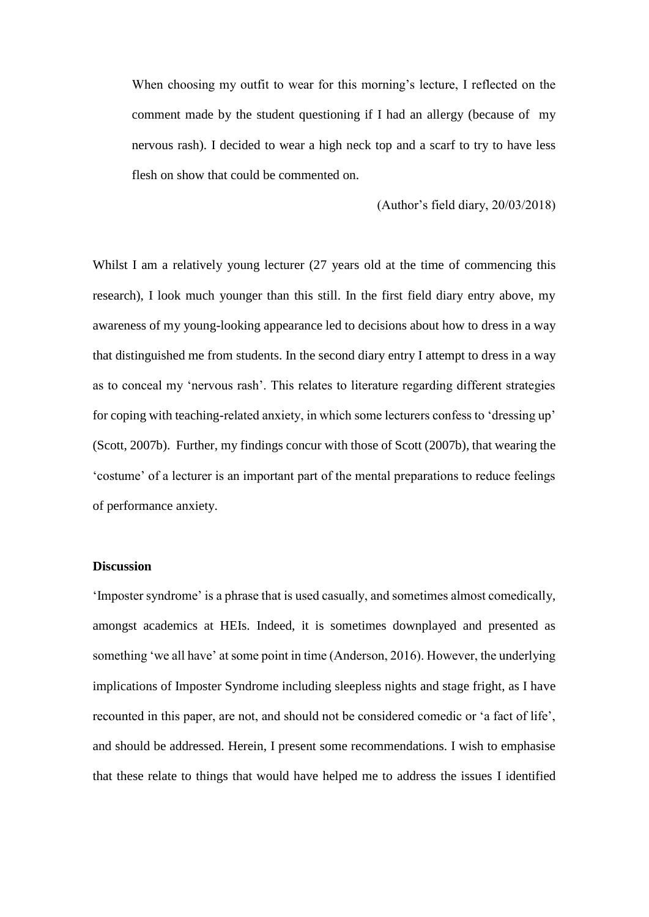When choosing my outfit to wear for this morning's lecture, I reflected on the comment made by the student questioning if I had an allergy (because of my nervous rash). I decided to wear a high neck top and a scarf to try to have less flesh on show that could be commented on.

(Author's field diary, 20/03/2018)

Whilst I am a relatively young lecturer (27 years old at the time of commencing this research), I look much younger than this still. In the first field diary entry above, my awareness of my young-looking appearance led to decisions about how to dress in a way that distinguished me from students. In the second diary entry I attempt to dress in a way as to conceal my 'nervous rash'. This relates to literature regarding different strategies for coping with teaching-related anxiety, in which some lecturers confess to 'dressing up' (Scott, 2007b). Further, my findings concur with those of Scott (2007b), that wearing the 'costume' of a lecturer is an important part of the mental preparations to reduce feelings of performance anxiety.

## **Discussion**

'Imposter syndrome' is a phrase that is used casually, and sometimes almost comedically, amongst academics at HEIs. Indeed, it is sometimes downplayed and presented as something 'we all have' at some point in time (Anderson, 2016). However, the underlying implications of Imposter Syndrome including sleepless nights and stage fright, as I have recounted in this paper, are not, and should not be considered comedic or 'a fact of life', and should be addressed. Herein, I present some recommendations. I wish to emphasise that these relate to things that would have helped me to address the issues I identified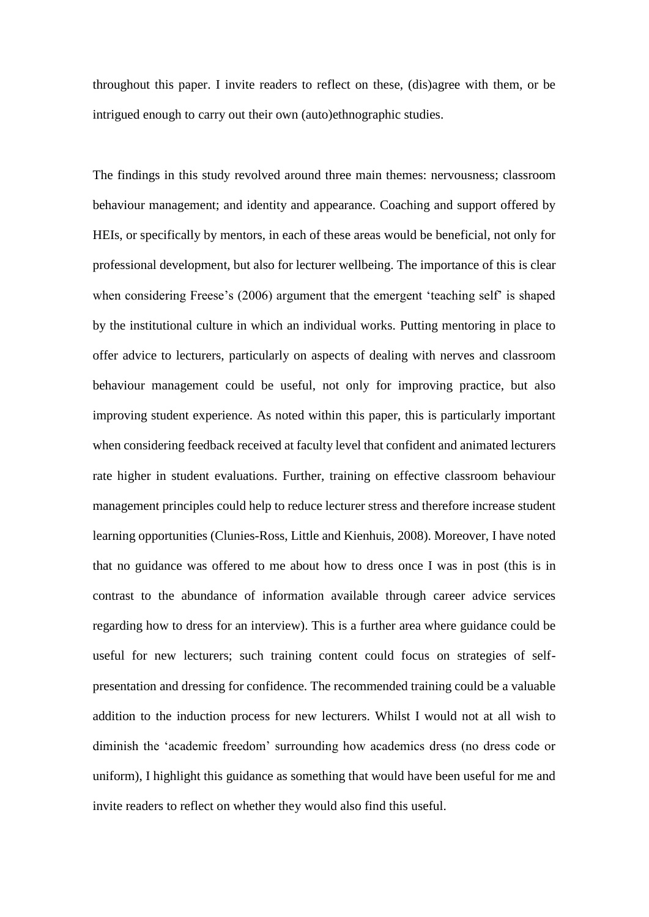throughout this paper. I invite readers to reflect on these, (dis)agree with them, or be intrigued enough to carry out their own (auto)ethnographic studies.

The findings in this study revolved around three main themes: nervousness; classroom behaviour management; and identity and appearance. Coaching and support offered by HEIs, or specifically by mentors, in each of these areas would be beneficial, not only for professional development, but also for lecturer wellbeing. The importance of this is clear when considering Freese's (2006) argument that the emergent 'teaching self' is shaped by the institutional culture in which an individual works. Putting mentoring in place to offer advice to lecturers, particularly on aspects of dealing with nerves and classroom behaviour management could be useful, not only for improving practice, but also improving student experience. As noted within this paper, this is particularly important when considering feedback received at faculty level that confident and animated lecturers rate higher in student evaluations. Further, training on effective classroom behaviour management principles could help to reduce lecturer stress and therefore increase student learning opportunities (Clunies-Ross, Little and Kienhuis, 2008). Moreover, I have noted that no guidance was offered to me about how to dress once I was in post (this is in contrast to the abundance of information available through career advice services regarding how to dress for an interview). This is a further area where guidance could be useful for new lecturers; such training content could focus on strategies of selfpresentation and dressing for confidence. The recommended training could be a valuable addition to the induction process for new lecturers. Whilst I would not at all wish to diminish the 'academic freedom' surrounding how academics dress (no dress code or uniform), I highlight this guidance as something that would have been useful for me and invite readers to reflect on whether they would also find this useful.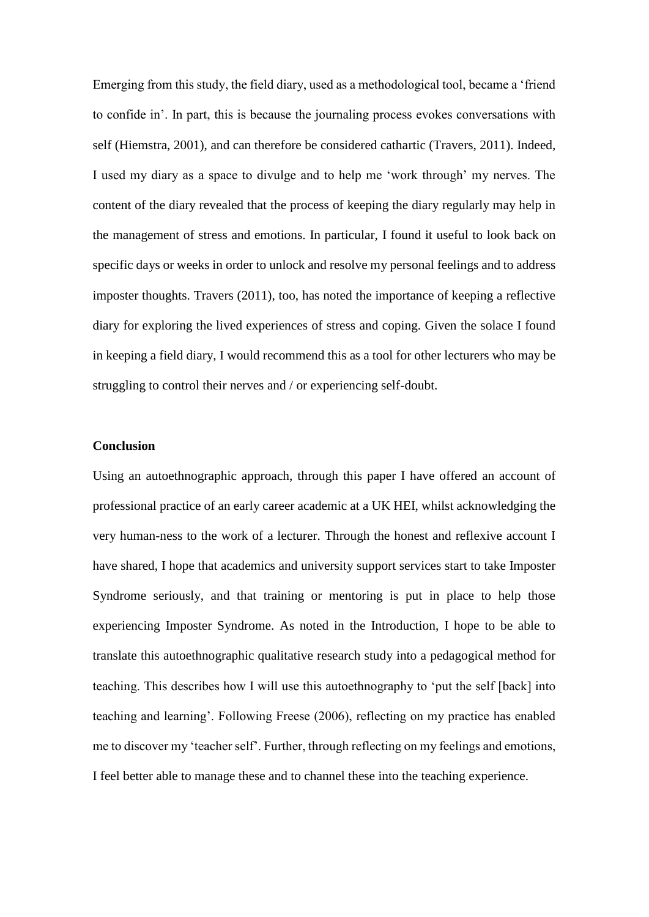Emerging from this study, the field diary, used as a methodological tool, became a 'friend to confide in'. In part, this is because the journaling process evokes conversations with self (Hiemstra, 2001), and can therefore be considered cathartic (Travers, 2011). Indeed, I used my diary as a space to divulge and to help me 'work through' my nerves. The content of the diary revealed that the process of keeping the diary regularly may help in the management of stress and emotions. In particular, I found it useful to look back on specific days or weeks in order to unlock and resolve my personal feelings and to address imposter thoughts. Travers (2011), too, has noted the importance of keeping a reflective diary for exploring the lived experiences of stress and coping. Given the solace I found in keeping a field diary, I would recommend this as a tool for other lecturers who may be struggling to control their nerves and / or experiencing self-doubt.

### **Conclusion**

Using an autoethnographic approach, through this paper I have offered an account of professional practice of an early career academic at a UK HEI, whilst acknowledging the very human-ness to the work of a lecturer. Through the honest and reflexive account I have shared, I hope that academics and university support services start to take Imposter Syndrome seriously, and that training or mentoring is put in place to help those experiencing Imposter Syndrome. As noted in the Introduction, I hope to be able to translate this autoethnographic qualitative research study into a pedagogical method for teaching. This describes how I will use this autoethnography to 'put the self [back] into teaching and learning'. Following Freese (2006), reflecting on my practice has enabled me to discover my 'teacher self'. Further, through reflecting on my feelings and emotions, I feel better able to manage these and to channel these into the teaching experience.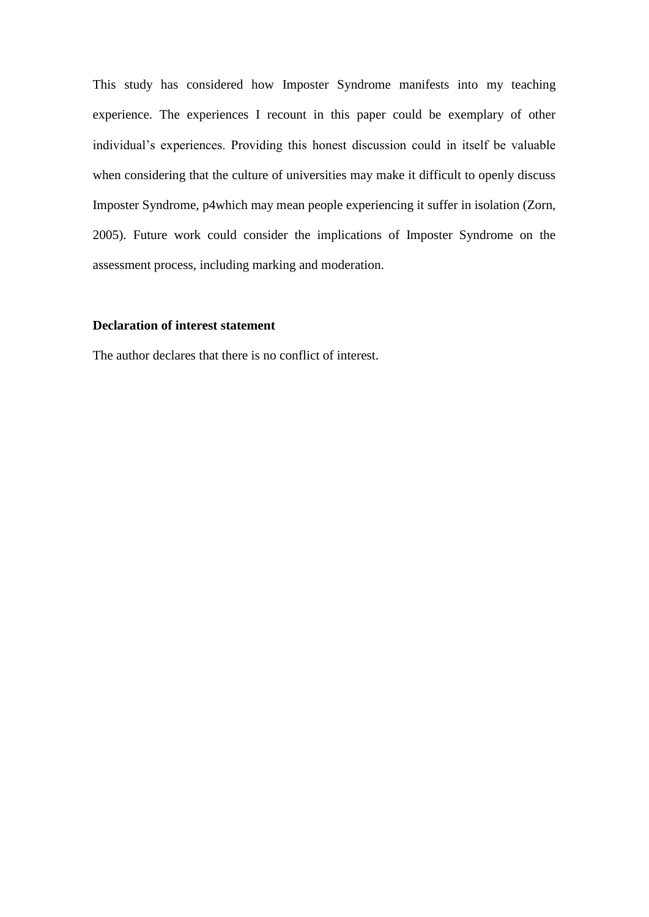This study has considered how Imposter Syndrome manifests into my teaching experience. The experiences I recount in this paper could be exemplary of other individual's experiences. Providing this honest discussion could in itself be valuable when considering that the culture of universities may make it difficult to openly discuss Imposter Syndrome, p4which may mean people experiencing it suffer in isolation (Zorn, 2005). Future work could consider the implications of Imposter Syndrome on the assessment process, including marking and moderation.

## **Declaration of interest statement**

The author declares that there is no conflict of interest.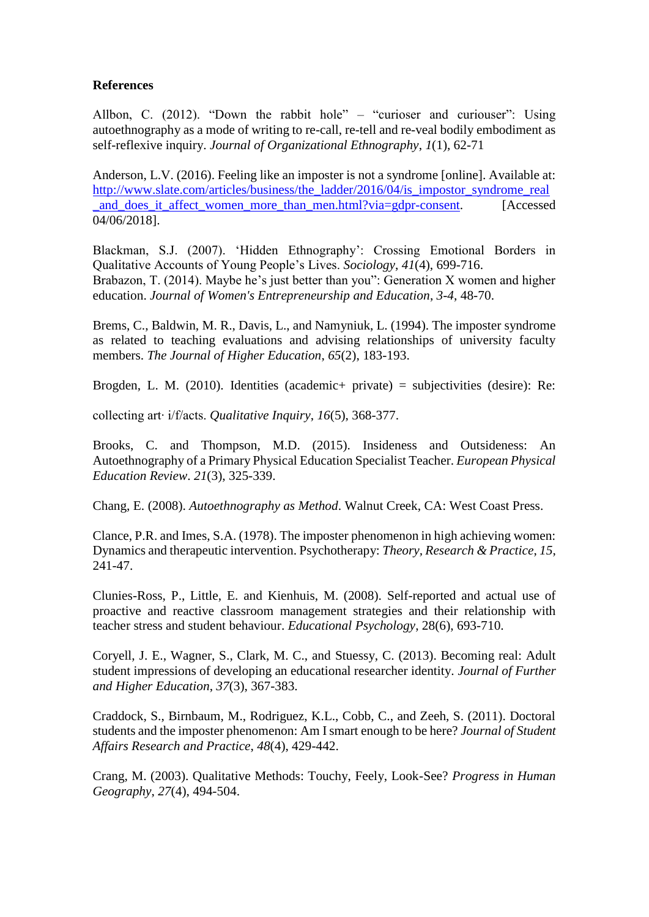## **References**

Allbon, C. (2012). "Down the rabbit hole" – "curioser and curiouser": Using autoethnography as a mode of writing to re-call, re-tell and re-veal bodily embodiment as self-reflexive inquiry. *Journal of Organizational Ethnography*, *1*(1), 62-71

Anderson, L.V. (2016). Feeling like an imposter is not a syndrome [online]. Available at: [http://www.slate.com/articles/business/the\\_ladder/2016/04/is\\_impostor\\_syndrome\\_real](http://www.slate.com/articles/business/the_ladder/2016/04/is_impostor_syndrome_real_and_does_it_affect_women_more_than_men.html?via=gdpr-consent) and does it affect women more than men.html?via=gdpr-consent. [Accessed] 04/06/2018].

Blackman, S.J. (2007). 'Hidden Ethnography': Crossing Emotional Borders in Qualitative Accounts of Young People's Lives. *Sociology*, *41*(4), 699-716. Brabazon, T. (2014). Maybe he's just better than you": Generation X women and higher education. *Journal of Women's Entrepreneurship and Education*, *3-4*, 48-70.

Brems, C., Baldwin, M. R., Davis, L., and Namyniuk, L. (1994). The imposter syndrome as related to teaching evaluations and advising relationships of university faculty members. *The Journal of Higher Education*, *65*(2), 183-193.

Brogden, L. M. (2010). Identities (academic+ private) = subjectivities (desire): Re:

collecting art∙ i/f/acts. *Qualitative Inquiry*, *16*(5), 368-377.

Brooks, C. and Thompson, M.D. (2015). Insideness and Outsideness: An Autoethnography of a Primary Physical Education Specialist Teacher. *European Physical Education Review*. *21*(3), 325-339.

Chang, E. (2008). *Autoethnography as Method*. Walnut Creek, CA: West Coast Press.

Clance, P.R. and Imes, S.A. (1978). The imposter phenomenon in high achieving women: Dynamics and therapeutic intervention. Psychotherapy: *Theory, Research & Practice*, *15*, 241-47.

Clunies-Ross, P., Little, E. and Kienhuis, M. (2008). Self-reported and actual use of proactive and reactive classroom management strategies and their relationship with teacher stress and student behaviour. *Educational Psychology*, 28(6), 693-710.

Coryell, J. E., Wagner, S., Clark, M. C., and Stuessy, C. (2013). Becoming real: Adult student impressions of developing an educational researcher identity. *Journal of Further and Higher Education*, *37*(3), 367-383.

Craddock, S., Birnbaum, M., Rodriguez, K.L., Cobb, C., and Zeeh, S. (2011). Doctoral students and the imposter phenomenon: Am I smart enough to be here? *Journal of Student Affairs Research and Practice*, *48*(4), 429-442.

Crang, M. (2003). Qualitative Methods: Touchy, Feely, Look-See? *Progress in Human Geography*, *27*(4), 494-504.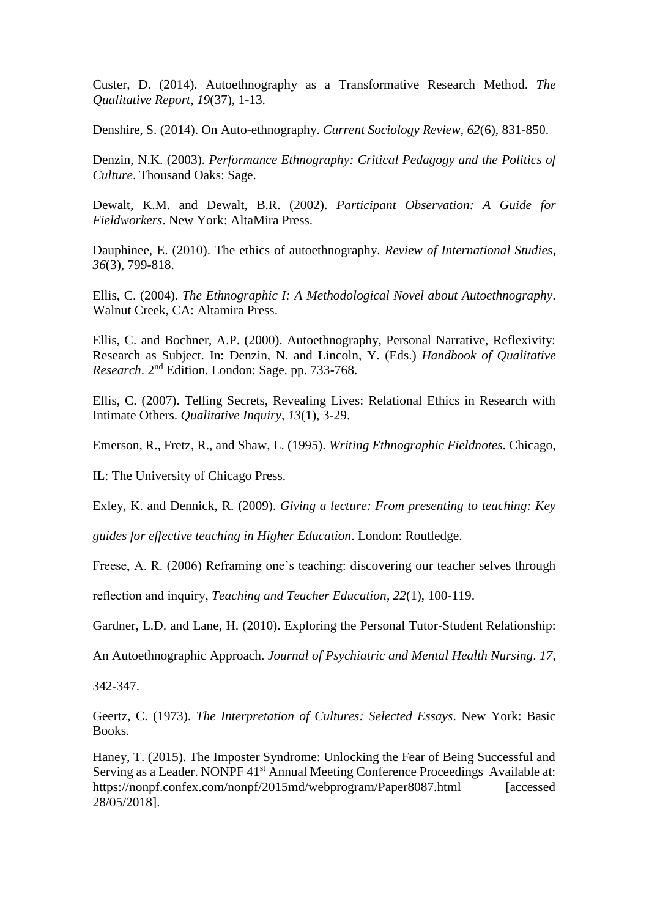Custer, D. (2014). Autoethnography as a Transformative Research Method. *The Qualitative Report*, *19*(37), 1-13.

Denshire, S. (2014). On Auto-ethnography. *Current Sociology Review*, *62*(6), 831-850.

Denzin, N.K. (2003). *Performance Ethnography: Critical Pedagogy and the Politics of Culture*. Thousand Oaks: Sage.

Dewalt, K.M. and Dewalt, B.R. (2002). *Participant Observation: A Guide for Fieldworkers*. New York: AltaMira Press.

Dauphinee, E. (2010). The ethics of autoethnography. *Review of International Studies*, *36*(3), 799-818.

Ellis, C. (2004). *The Ethnographic I: A Methodological Novel about Autoethnography*. Walnut Creek, CA: Altamira Press.

Ellis, C. and Bochner, A.P. (2000). Autoethnography, Personal Narrative, Reflexivity: Research as Subject. In: Denzin, N. and Lincoln, Y. (Eds.) *Handbook of Qualitative Research*. 2nd Edition. London: Sage. pp. 733-768.

Ellis, C. (2007). Telling Secrets, Revealing Lives: Relational Ethics in Research with Intimate Others. *Qualitative Inquiry*, *13*(1), 3-29.

Emerson, R., Fretz, R., and Shaw, L. (1995). *Writing Ethnographic Fieldnotes*. Chicago,

IL: The University of Chicago Press.

Exley, K. and Dennick, R. (2009). *Giving a lecture: From presenting to teaching: Key* 

*guides for effective teaching in Higher Education*. London: Routledge.

Freese, A. R. (2006) Reframing one's teaching: discovering our teacher selves through

reflection and inquiry, *Teaching and Teacher Education*, *22*(1), 100-119.

Gardner, L.D. and Lane, H. (2010). Exploring the Personal Tutor-Student Relationship:

An Autoethnographic Approach. *Journal of Psychiatric and Mental Health Nursing*. *17*,

342-347.

Geertz, C. (1973). *The Interpretation of Cultures: Selected Essays*. New York: Basic Books.

Haney, T. (2015). The Imposter Syndrome: Unlocking the Fear of Being Successful and Serving as a Leader. NONPF 41<sup>st</sup> Annual Meeting Conference Proceedings Available at: https://nonpf.confex.com/nonpf/2015md/webprogram/Paper8087.html [accessed 28/05/2018].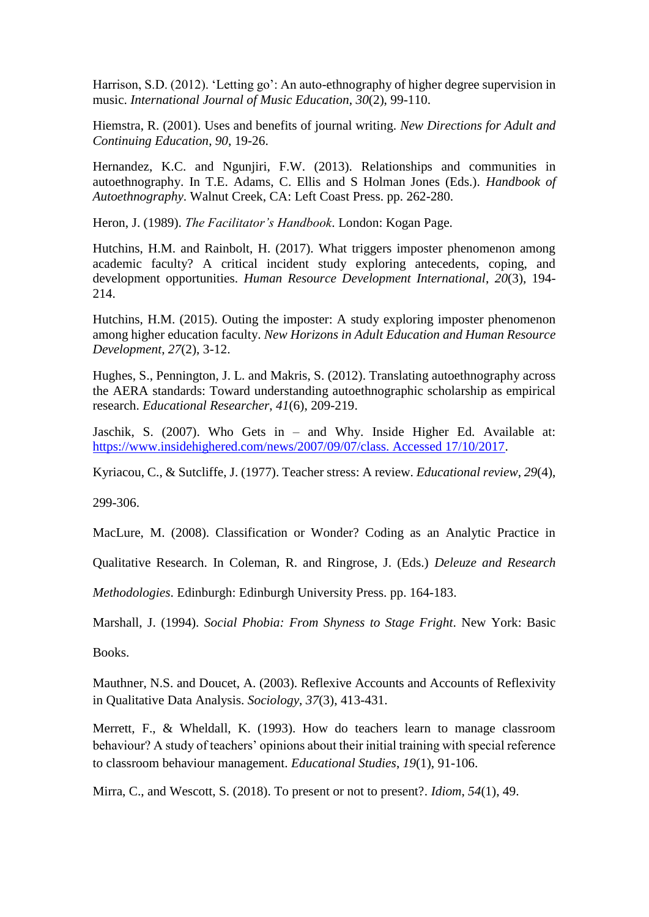Harrison, S.D. (2012). 'Letting go': An auto-ethnography of higher degree supervision in music. *International Journal of Music Education*, *30*(2), 99-110.

Hiemstra, R. (2001). Uses and benefits of journal writing. *New Directions for Adult and Continuing Education*, *90*, 19-26.

Hernandez, K.C. and Ngunjiri, F.W. (2013). Relationships and communities in autoethnography. In T.E. Adams, C. Ellis and S Holman Jones (Eds.). *Handbook of Autoethnography*. Walnut Creek, CA: Left Coast Press. pp. 262-280.

Heron, J. (1989). *The Facilitator's Handbook*. London: Kogan Page.

Hutchins, H.M. and Rainbolt, H. (2017). What triggers imposter phenomenon among academic faculty? A critical incident study exploring antecedents, coping, and development opportunities. *Human Resource Development International*, *20*(3), 194- 214.

Hutchins, H.M. (2015). Outing the imposter: A study exploring imposter phenomenon among higher education faculty. *New Horizons in Adult Education and Human Resource Development*, *27*(2), 3-12.

Hughes, S., Pennington, J. L. and Makris, S. (2012). Translating autoethnography across the AERA standards: Toward understanding autoethnographic scholarship as empirical research. *Educational Researcher*, *41*(6), 209-219.

Jaschik, S. (2007). Who Gets in – and Why. Inside Higher Ed. Available at: [https://www.insidehighered.com/news/2007/09/07/class. Accessed 17/10/2017.](https://www.insidehighered.com/news/2007/09/07/class.%20Accessed%2017/10/2017)

Kyriacou, C., & Sutcliffe, J. (1977). Teacher stress: A review. *Educational review*, *29*(4),

299-306.

MacLure, M. (2008). Classification or Wonder? Coding as an Analytic Practice in

Qualitative Research. In Coleman, R. and Ringrose, J. (Eds.) *Deleuze and Research* 

*Methodologies*. Edinburgh: Edinburgh University Press. pp. 164-183.

Marshall, J. (1994). *Social Phobia: From Shyness to Stage Fright*. New York: Basic

Books.

Mauthner, N.S. and Doucet, A. (2003). Reflexive Accounts and Accounts of Reflexivity in Qualitative Data Analysis. *Sociology*, *37*(3), 413-431.

Merrett, F., & Wheldall, K. (1993). How do teachers learn to manage classroom behaviour? A study of teachers' opinions about their initial training with special reference to classroom behaviour management. *Educational Studies*, *19*(1), 91-106.

Mirra, C., and Wescott, S. (2018). To present or not to present?. *Idiom*, *54*(1), 49.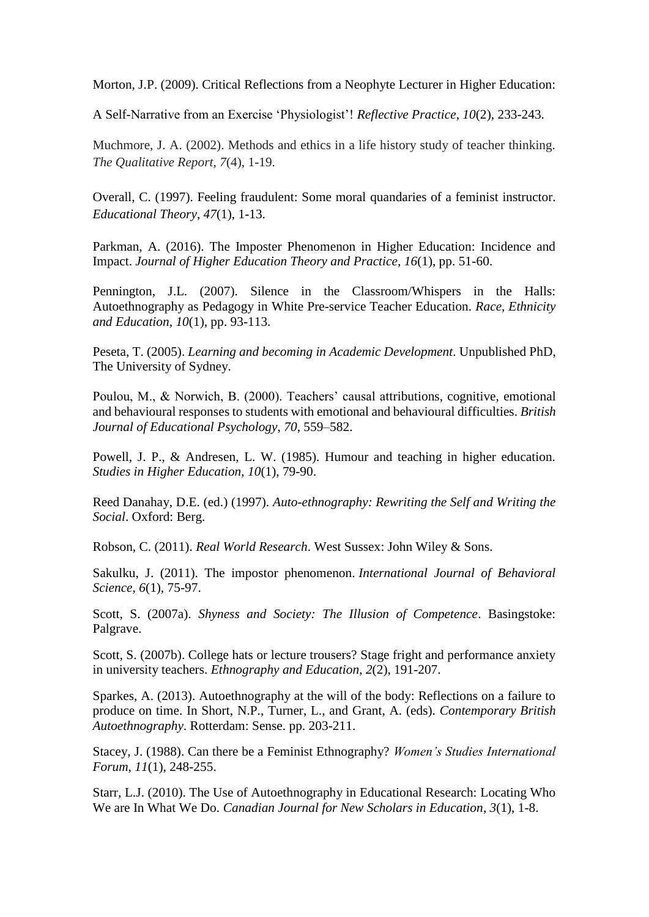Morton, J.P. (2009). Critical Reflections from a Neophyte Lecturer in Higher Education:

A Self-Narrative from an Exercise 'Physiologist'! *Reflective Practice*, *10*(2), 233-243.

Muchmore, J. A. (2002). Methods and ethics in a life history study of teacher thinking. *The Qualitative Report*, *7*(4), 1-19.

Overall, C. (1997). Feeling fraudulent: Some moral quandaries of a feminist instructor. *Educational Theory*, *47*(1), 1-13.

Parkman, A. (2016). The Imposter Phenomenon in Higher Education: Incidence and Impact. *Journal of Higher Education Theory and Practice*, *16*(1), pp. 51-60.

Pennington, J.L. (2007). Silence in the Classroom/Whispers in the Halls: Autoethnography as Pedagogy in White Pre-service Teacher Education. *Race, Ethnicity and Education*, *10*(1), pp. 93-113.

Peseta, T. (2005). *Learning and becoming in Academic Development*. Unpublished PhD, The University of Sydney.

Poulou, M., & Norwich, B. (2000). Teachers' causal attributions, cognitive, emotional and behavioural responses to students with emotional and behavioural difficulties. *British Journal of Educational Psychology*, *70*, 559–582.

Powell, J. P., & Andresen, L. W. (1985). Humour and teaching in higher education. *Studies in Higher Education*, *10*(1), 79-90.

Reed Danahay, D.E. (ed.) (1997). *Auto-ethnography: Rewriting the Self and Writing the Social*. Oxford: Berg.

Robson, C. (2011). *Real World Research*. West Sussex: John Wiley & Sons.

Sakulku, J. (2011). The impostor phenomenon. *International Journal of Behavioral Science*, *6*(1), 75-97.

Scott, S. (2007a). *Shyness and Society: The Illusion of Competence*. Basingstoke: Palgrave.

Scott, S. (2007b). College hats or lecture trousers? Stage fright and performance anxiety in university teachers. *Ethnography and Education*, *2*(2), 191-207.

Sparkes, A. (2013). Autoethnography at the will of the body: Reflections on a failure to produce on time. In Short, N.P., Turner, L., and Grant, A. (eds). *Contemporary British Autoethnography*. Rotterdam: Sense. pp. 203-211.

Stacey, J. (1988). Can there be a Feminist Ethnography? *Women's Studies International Forum*, *11*(1), 248-255.

Starr, L.J. (2010). The Use of Autoethnography in Educational Research: Locating Who We are In What We Do. *Canadian Journal for New Scholars in Education*, *3*(1), 1-8.